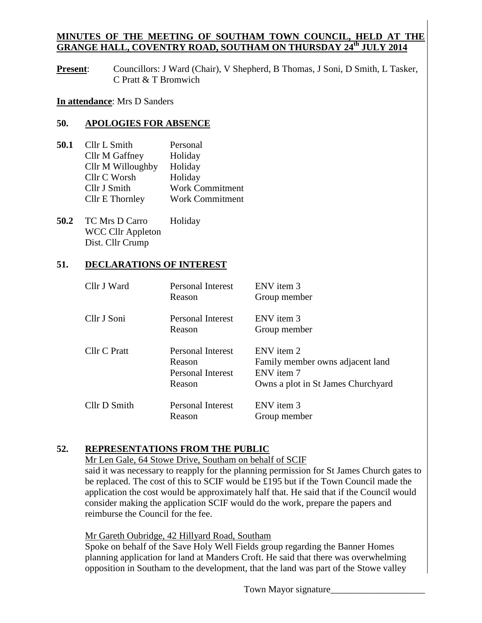### **MINUTES OF THE MEETING OF SOUTHAM TOWN COUNCIL, HELD AT THE GRANGE HALL, COVENTRY ROAD, SOUTHAM ON THURSDAY 24 th JULY 2014**

**Present:** Councillors: J Ward (Chair), V Shepherd, B Thomas, J Soni, D Smith, L Tasker, C Pratt & T Bromwich

**In attendance**: Mrs D Sanders

#### **50. APOLOGIES FOR ABSENCE**

- **50.1** Cllr L Smith Personal Cllr M Gaffney Holiday Cllr M Willoughby Holiday Cllr C Worsh Holiday Cllr J Smith Work Commitment Cllr E Thornley Work Commitment
- 50.2 TC Mrs D Carro Holiday WCC Cllr Appleton Dist. Cllr Crump

#### **51. DECLARATIONS OF INTEREST**

| Cllr J Ward  | Personal Interest<br>Reason                                       | ENV item 3<br>Group member                                                                         |
|--------------|-------------------------------------------------------------------|----------------------------------------------------------------------------------------------------|
| Cllr J Soni  | Personal Interest<br>Reason                                       | ENV item 3<br>Group member                                                                         |
| Cllr C Pratt | Personal Interest<br>Reason<br><b>Personal Interest</b><br>Reason | ENV item 2<br>Family member owns adjacent land<br>ENV item 7<br>Owns a plot in St James Churchyard |
| Cllr D Smith | Personal Interest<br>Reason                                       | ENV item 3<br>Group member                                                                         |

#### **52. REPRESENTATIONS FROM THE PUBLIC**

Mr Len Gale, 64 Stowe Drive, Southam on behalf of SCIF

said it was necessary to reapply for the planning permission for St James Church gates to be replaced. The cost of this to SCIF would be £195 but if the Town Council made the application the cost would be approximately half that. He said that if the Council would consider making the application SCIF would do the work, prepare the papers and reimburse the Council for the fee.

Mr Gareth Oubridge, 42 Hillyard Road, Southam

Spoke on behalf of the Save Holy Well Fields group regarding the Banner Homes planning application for land at Manders Croft. He said that there was overwhelming opposition in Southam to the development, that the land was part of the Stowe valley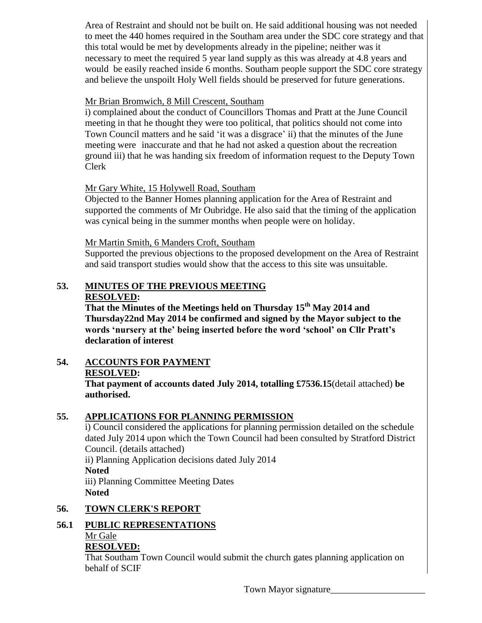Area of Restraint and should not be built on. He said additional housing was not needed to meet the 440 homes required in the Southam area under the SDC core strategy and that this total would be met by developments already in the pipeline; neither was it necessary to meet the required 5 year land supply as this was already at 4.8 years and would be easily reached inside 6 months. Southam people support the SDC core strategy and believe the unspoilt Holy Well fields should be preserved for future generations.

#### Mr Brian Bromwich, 8 Mill Crescent, Southam

i) complained about the conduct of Councillors Thomas and Pratt at the June Council meeting in that he thought they were too political, that politics should not come into Town Council matters and he said 'it was a disgrace' ii) that the minutes of the June meeting were inaccurate and that he had not asked a question about the recreation ground iii) that he was handing six freedom of information request to the Deputy Town Clerk

# Mr Gary White, 15 Holywell Road, Southam

Objected to the Banner Homes planning application for the Area of Restraint and supported the comments of Mr Oubridge. He also said that the timing of the application was cynical being in the summer months when people were on holiday.

# Mr Martin Smith, 6 Manders Croft, Southam

Supported the previous objections to the proposed development on the Area of Restraint and said transport studies would show that the access to this site was unsuitable.

#### **53. MINUTES OF THE PREVIOUS MEETING RESOLVED:**

**That the Minutes of the Meetings held on Thursday 15th May 2014 and Thursday22nd May 2014 be confirmed and signed by the Mayor subject to the words 'nursery at the' being inserted before the word 'school' on Cllr Pratt's declaration of interest**

**54. ACCOUNTS FOR PAYMENT**

# **RESOLVED:**

**That payment of accounts dated July 2014, totalling £7536.15**(detail attached) **be authorised.**

# **55. APPLICATIONS FOR PLANNING PERMISSION**

i) Council considered the applications for planning permission detailed on the schedule dated July 2014 upon which the Town Council had been consulted by Stratford District Council. (details attached)

ii) Planning Application decisions dated July 2014 **Noted**

iii) Planning Committee Meeting Dates **Noted**

# **56. TOWN CLERK'S REPORT**

# **56.1 PUBLIC REPRESENTATIONS**

# Mr Gale

# **RESOLVED:**

That Southam Town Council would submit the church gates planning application on behalf of SCIF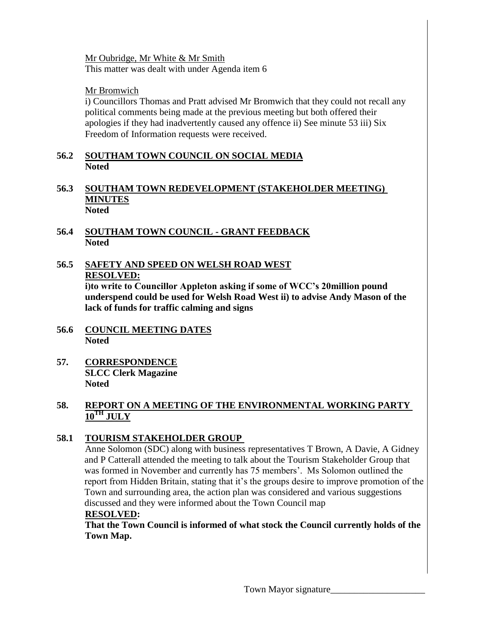Mr Oubridge, Mr White & Mr Smith This matter was dealt with under Agenda item 6

### Mr Bromwich

i) Councillors Thomas and Pratt advised Mr Bromwich that they could not recall any political comments being made at the previous meeting but both offered their apologies if they had inadvertently caused any offence ii) See minute 53 iii) Six Freedom of Information requests were received.

#### **56.2 SOUTHAM TOWN COUNCIL ON SOCIAL MEDIA Noted**

- **56.3 SOUTHAM TOWN REDEVELOPMENT (STAKEHOLDER MEETING) MINUTES Noted**
- **56.4 SOUTHAM TOWN COUNCIL - GRANT FEEDBACK Noted**
- **56.5 SAFETY AND SPEED ON WELSH ROAD WEST RESOLVED:**

**i)to write to Councillor Appleton asking if some of WCC's 20million pound underspend could be used for Welsh Road West ii) to advise Andy Mason of the lack of funds for traffic calming and signs**

- **56.6 COUNCIL MEETING DATES Noted**
- **57. CORRESPONDENCE SLCC Clerk Magazine Noted**

### **58. REPORT ON A MEETING OF THE ENVIRONMENTAL WORKING PARTY**   $10^{TH}$ **JULY**

# **58.1 TOURISM STAKEHOLDER GROUP**

Anne Solomon (SDC) along with business representatives T Brown, A Davie, A Gidney and P Catterall attended the meeting to talk about the Tourism Stakeholder Group that was formed in November and currently has 75 members'. Ms Solomon outlined the report from Hidden Britain, stating that it's the groups desire to improve promotion of the Town and surrounding area, the action plan was considered and various suggestions discussed and they were informed about the Town Council map

#### **RESOLVED:**

**That the Town Council is informed of what stock the Council currently holds of the Town Map.**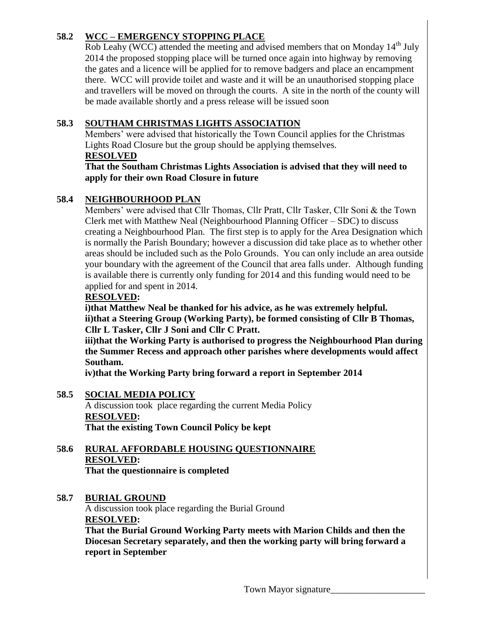# **58.2 WCC – EMERGENCY STOPPING PLACE**

Rob Leahy (WCC) attended the meeting and advised members that on Monday  $14<sup>th</sup>$  July 2014 the proposed stopping place will be turned once again into highway by removing the gates and a licence will be applied for to remove badgers and place an encampment there. WCC will provide toilet and waste and it will be an unauthorised stopping place and travellers will be moved on through the courts. A site in the north of the county will be made available shortly and a press release will be issued soon

### **58.3 SOUTHAM CHRISTMAS LIGHTS ASSOCIATION**

Members' were advised that historically the Town Council applies for the Christmas Lights Road Closure but the group should be applying themselves.

# **RESOLVED**

#### **That the Southam Christmas Lights Association is advised that they will need to apply for their own Road Closure in future**

### **58.4 NEIGHBOURHOOD PLAN**

Members' were advised that Cllr Thomas, Cllr Pratt, Cllr Tasker, Cllr Soni & the Town Clerk met with Matthew Neal (Neighbourhood Planning Officer – SDC) to discuss creating a Neighbourhood Plan. The first step is to apply for the Area Designation which is normally the Parish Boundary; however a discussion did take place as to whether other areas should be included such as the Polo Grounds. You can only include an area outside your boundary with the agreement of the Council that area falls under. Although funding is available there is currently only funding for 2014 and this funding would need to be applied for and spent in 2014.

#### **RESOLVED:**

**i)that Matthew Neal be thanked for his advice, as he was extremely helpful. ii)that a Steering Group (Working Party), be formed consisting of Cllr B Thomas, Cllr L Tasker, Cllr J Soni and Cllr C Pratt.** 

**iii)that the Working Party is authorised to progress the Neighbourhood Plan during the Summer Recess and approach other parishes where developments would affect Southam.**

**iv)that the Working Party bring forward a report in September 2014**

# **58.5 SOCIAL MEDIA POLICY**

A discussion took place regarding the current Media Policy **RESOLVED: That the existing Town Council Policy be kept**

**58.6 RURAL AFFORDABLE HOUSING QUESTIONNAIRE RESOLVED: That the questionnaire is completed**

#### **58.7 BURIAL GROUND**

A discussion took place regarding the Burial Ground **RESOLVED:**

**That the Burial Ground Working Party meets with Marion Childs and then the Diocesan Secretary separately, and then the working party will bring forward a report in September**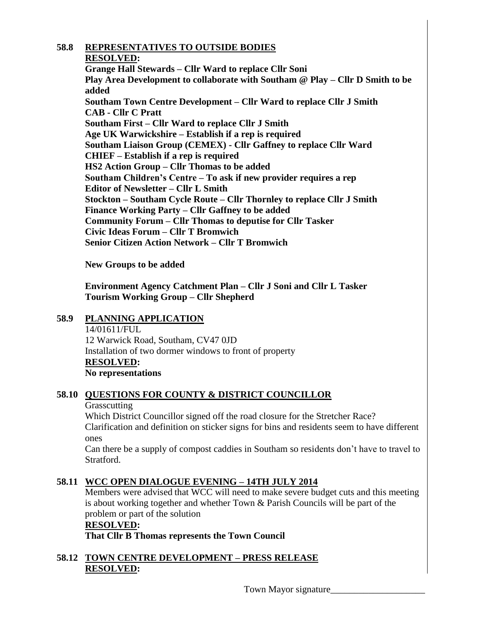#### **58.8 REPRESENTATIVES TO OUTSIDE BODIES**

#### **RESOLVED:**

**Grange Hall Stewards – Cllr Ward to replace Cllr Soni Play Area Development to collaborate with Southam @ Play – Cllr D Smith to be added Southam Town Centre Development – Cllr Ward to replace Cllr J Smith CAB - Cllr C Pratt Southam First – Cllr Ward to replace Cllr J Smith Age UK Warwickshire – Establish if a rep is required Southam Liaison Group (CEMEX) - Cllr Gaffney to replace Cllr Ward CHIEF – Establish if a rep is required HS2 Action Group – Cllr Thomas to be added Southam Children's Centre – To ask if new provider requires a rep Editor of Newsletter – Cllr L Smith Stockton – Southam Cycle Route – Cllr Thornley to replace Cllr J Smith Finance Working Party – Cllr Gaffney to be added Community Forum – Cllr Thomas to deputise for Cllr Tasker Civic Ideas Forum – Cllr T Bromwich Senior Citizen Action Network – Cllr T Bromwich**

**New Groups to be added**

**Environment Agency Catchment Plan – Cllr J Soni and Cllr L Tasker Tourism Working Group – Cllr Shepherd**

#### **58.9 PLANNING APPLICATION**

14/01611/FUL 12 Warwick Road, Southam, CV47 0JD Installation of two dormer windows to front of property **RESOLVED: No representations**

#### **58.10 QUESTIONS FOR COUNTY & DISTRICT COUNCILLOR**

#### **Grasscutting**

Which District Councillor signed off the road closure for the Stretcher Race? Clarification and definition on sticker signs for bins and residents seem to have different ones

Can there be a supply of compost caddies in Southam so residents don't have to travel to Stratford.

#### **58.11 WCC OPEN DIALOGUE EVENING – 14TH JULY 2014**

Members were advised that WCC will need to make severe budget cuts and this meeting is about working together and whether Town & Parish Councils will be part of the problem or part of the solution

#### **RESOLVED:**

**That Cllr B Thomas represents the Town Council**

# **58.12 TOWN CENTRE DEVELOPMENT – PRESS RELEASE RESOLVED:**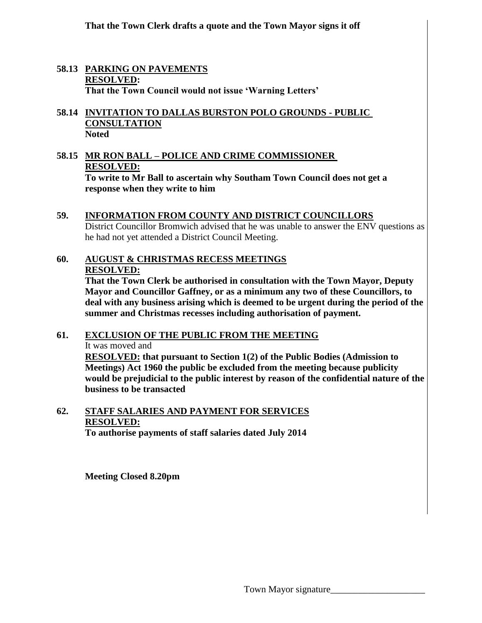**That the Town Clerk drafts a quote and the Town Mayor signs it off**

#### **58.13 PARKING ON PAVEMENTS RESOLVED: That the Town Council would not issue 'Warning Letters'**

#### **58.14 INVITATION TO DALLAS BURSTON POLO GROUNDS - PUBLIC CONSULTATION Noted**

**58.15 MR RON BALL – POLICE AND CRIME COMMISSIONER RESOLVED: To write to Mr Ball to ascertain why Southam Town Council does not get a** 

**response when they write to him**

#### **59. INFORMATION FROM COUNTY AND DISTRICT COUNCILLORS** District Councillor Bromwich advised that he was unable to answer the ENV questions as he had not yet attended a District Council Meeting.

# **60. AUGUST & CHRISTMAS RECESS MEETINGS RESOLVED:**

**That the Town Clerk be authorised in consultation with the Town Mayor, Deputy Mayor and Councillor Gaffney, or as a minimum any two of these Councillors, to deal with any business arising which is deemed to be urgent during the period of the summer and Christmas recesses including authorisation of payment.**

# **61. EXCLUSION OF THE PUBLIC FROM THE MEETING** It was moved and **RESOLVED: that pursuant to Section 1(2) of the Public Bodies (Admission to**

**Meetings) Act 1960 the public be excluded from the meeting because publicity would be prejudicial to the public interest by reason of the confidential nature of the business to be transacted**

#### **62. STAFF SALARIES AND PAYMENT FOR SERVICES RESOLVED: To authorise payments of staff salaries dated July 2014**

**Meeting Closed 8.20pm**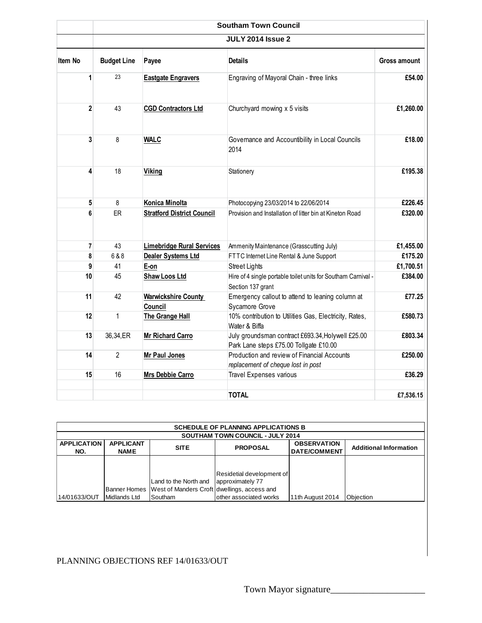|         | <b>Southam Town Council</b> |                                       |                                                                                                        |                      |  |  |  |
|---------|-----------------------------|---------------------------------------|--------------------------------------------------------------------------------------------------------|----------------------|--|--|--|
|         | <b>JULY 2014 Issue 2</b>    |                                       |                                                                                                        |                      |  |  |  |
| Item No | <b>Budget Line</b>          | Payee                                 | <b>Details</b>                                                                                         | Gross amount         |  |  |  |
| 1       | 23                          | <b>Eastgate Engravers</b>             | Engraving of Mayoral Chain - three links                                                               | £54.00               |  |  |  |
| 2       | 43                          | <b>CGD Contractors Ltd</b>            | Churchyard mowing x 5 visits                                                                           | £1,260.00            |  |  |  |
| 3       | 8                           | <b>WALC</b>                           | Governance and Accountibility in Local Councils<br>2014                                                | £18.00               |  |  |  |
| 4       | 18                          | <b>Viking</b>                         | Stationery                                                                                             | £195.38              |  |  |  |
| 5       | 8                           | Konica Minolta                        | Photocopying 23/03/2014 to 22/06/2014                                                                  | £226.45              |  |  |  |
| 6       | ER                          | <b>Stratford District Council</b>     | £320.00<br>Provision and Installation of litter bin at Kineton Road                                    |                      |  |  |  |
| 7       | 43                          | <b>Limebridge Rural Services</b>      | Ammenity Maintenance (Grasscutting July)                                                               |                      |  |  |  |
| 8       | 6&8                         | Dealer Systems Ltd                    | FTTC Internet Line Rental & June Support                                                               | £1,455.00<br>£175.20 |  |  |  |
| 9       | 41                          | E-on                                  | <b>Street Lights</b>                                                                                   | £1,700.51            |  |  |  |
| 10      | 45                          | Shaw Loos Ltd                         | £384.00<br>Hire of 4 single portable toilet units for Southam Carnival -<br>Section 137 grant          |                      |  |  |  |
| 11      | 42                          | <b>Warwickshire County</b><br>Council | Emergency callout to attend to leaning column at<br>£77.25<br>Sycamore Grove                           |                      |  |  |  |
| 12      | $\mathbf{1}$                | The Grange Hall                       | 10% contribution to Utilities Gas, Electricity, Rates,<br>£580.73<br>Water & Biffa                     |                      |  |  |  |
| 13      | 36,34,ER                    | <b>Mr Richard Carro</b>               | July groundsman contract £693.34, Holywell £25.00<br>£803.34<br>Park Lane steps £75.00 Tollgate £10.00 |                      |  |  |  |
| 14      | $\overline{2}$              | <b>Mr Paul Jones</b>                  | Production and review of Financial Accounts<br>£250.00<br>replacement of cheque lost in post           |                      |  |  |  |
| 15      | 16                          | Mrs Debbie Carro                      | Travel Expenses various                                                                                | £36.29               |  |  |  |
|         |                             |                                       | <b>TOTAL</b>                                                                                           | £7.536.15            |  |  |  |

| <b>SCHEDULE OF PLANNING APPLICATIONS B</b> |                  |                                             |                           |                     |                               |  |  |  |
|--------------------------------------------|------------------|---------------------------------------------|---------------------------|---------------------|-------------------------------|--|--|--|
| <b>SOUTHAM TOWN COUNCIL - JULY 2014</b>    |                  |                                             |                           |                     |                               |  |  |  |
| <b>APPLICATION</b>                         | <b>APPLICANT</b> | <b>SITE</b>                                 | <b>PROPOSAL</b>           | <b>OBSERVATION</b>  | <b>Additional Information</b> |  |  |  |
| NO.                                        | <b>NAME</b>      |                                             |                           | <b>DATE/COMMENT</b> |                               |  |  |  |
|                                            |                  |                                             |                           |                     |                               |  |  |  |
|                                            |                  |                                             |                           |                     |                               |  |  |  |
|                                            |                  |                                             | Residetial development of |                     |                               |  |  |  |
|                                            |                  | Land to the North and approximately 77      |                           |                     |                               |  |  |  |
|                                            | Banner Homes     | West of Manders Croft dwellings, access and |                           |                     |                               |  |  |  |
| 14/01633/OUT                               | Midlands Ltd     | Southam                                     | other associated works    | 11th August 2014    | Obiection                     |  |  |  |

# PLANNING OBJECTIONS REF 14/01633/OUT

Town Mayor signature\_\_\_\_\_\_\_\_\_\_\_\_\_\_\_\_\_\_\_\_